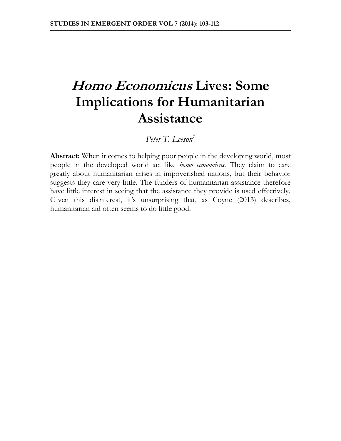# **Homo Economicus Lives: Some Implications for Humanitarian Assistance**

*Peter T. Leeson<sup>1</sup>*

**Abstract:** When it comes to helping poor people in the developing world, most people in the developed world act like *homo economicus*. They claim to care greatly about humanitarian crises in impoverished nations, but their behavior suggests they care very little. The funders of humanitarian assistance therefore have little interest in seeing that the assistance they provide is used effectively. Given this disinterest, it's unsurprising that, as Coyne (2013) describes, humanitarian aid often seems to do little good.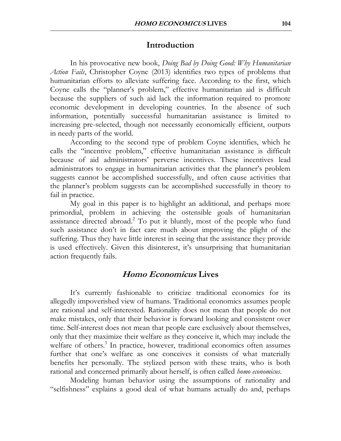### **Introduction**

In his provocative new book, *Doing Bad by Doing Good: Why Humanitarian Action Fails*, Christopher Coyne (2013) identifies two types of problems that humanitarian efforts to alleviate suffering face. According to the first, which Coyne calls the "planner's problem," effective humanitarian aid is difficult because the suppliers of such aid lack the information required to promote economic development in developing countries. In the absence of such information, potentially successful humanitarian assistance is limited to increasing pre-selected, though not necessarily economically efficient, outputs in needy parts of the world.

According to the second type of problem Coyne identifies, which he calls the "incentive problem," effective humanitarian assistance is difficult because of aid administrators' perverse incentives. These incentives lead administrators to engage in humanitarian activities that the planner's problem suggests cannot be accomplished successfully, and often cause activities that the planner's problem suggests can be accomplished successfully in theory to fail in practice.

My goal in this paper is to highlight an additional, and perhaps more primordial, problem in achieving the ostensible goals of humanitarian assistance directed abroad.<sup>2</sup> To put it bluntly, most of the people who fund such assistance don't in fact care much about improving the plight of the suffering. Thus they have little interest in seeing that the assistance they provide is used effectively. Given this disinterest, it's unsurprising that humanitarian action frequently fails.

## **Homo Economicus Lives**

It's currently fashionable to criticize traditional economics for its allegedly impoverished view of humans. Traditional economics assumes people are rational and self-interested. Rationality does not mean that people do not make mistakes, only that their behavior is forward looking and consistent over time. Self-interest does not mean that people care exclusively about themselves, only that they maximize their welfare as they conceive it, which may include the welfare of others.<sup>3</sup> In practice, however, traditional economics often assumes further that one's welfare as one conceives it consists of what materially benefits her personally. The stylized person with these traits, who is both rational and concerned primarily about herself, is often called *homo economicus*.

Modeling human behavior using the assumptions of rationality and "selfishness" explains a good deal of what humans actually do and, perhaps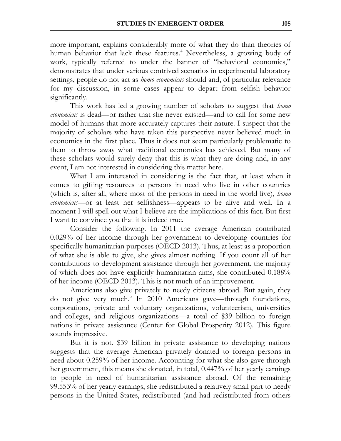more important, explains considerably more of what they do than theories of human behavior that lack these features.<sup>4</sup> Nevertheless, a growing body of work, typically referred to under the banner of "behavioral economics," demonstrates that under various contrived scenarios in experimental laboratory settings, people do not act as *homo economicus* should and, of particular relevance for my discussion, in some cases appear to depart from selfish behavior significantly.

This work has led a growing number of scholars to suggest that *homo economicus* is dead—or rather that she never existed—and to call for some new model of humans that more accurately captures their nature. I suspect that the majority of scholars who have taken this perspective never believed much in economics in the first place. Thus it does not seem particularly problematic to them to throw away what traditional economics has achieved. But many of these scholars would surely deny that this is what they are doing and, in any event, I am not interested in considering this matter here.

What I am interested in considering is the fact that, at least when it comes to gifting resources to persons in need who live in other countries (which is, after all, where most of the persons in need in the world live), *homo economicus*—or at least her selfishness—appears to be alive and well. In a moment I will spell out what I believe are the implications of this fact. But first I want to convince you that it is indeed true.

Consider the following. In 2011 the average American contributed 0.029% of her income through her government to developing countries for specifically humanitarian purposes (OECD 2013). Thus, at least as a proportion of what she is able to give, she gives almost nothing. If you count all of her contributions to development assistance through her government, the majority of which does not have explicitly humanitarian aims, she contributed 0.188% of her income (OECD 2013). This is not much of an improvement.

Americans also give privately to needy citizens abroad. But again, they do not give very much.<sup>5</sup> In 2010 Americans gave—through foundations, corporations, private and voluntary organizations, volunteerism, universities and colleges, and religious organizations—a total of \$39 billion to foreign nations in private assistance (Center for Global Prosperity 2012). This figure sounds impressive.

But it is not. \$39 billion in private assistance to developing nations suggests that the average American privately donated to foreign persons in need about 0.259% of her income. Accounting for what she also gave through her government, this means she donated, in total, 0.447% of her yearly earnings to people in need of humanitarian assistance abroad. Of the remaining 99.553% of her yearly earnings, she redistributed a relatively small part to needy persons in the United States, redistributed (and had redistributed from others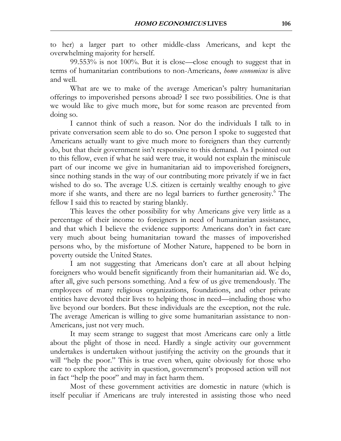to her) a larger part to other middle-class Americans, and kept the overwhelming majority for herself.

99.553% is not 100%. But it is close—close enough to suggest that in terms of humanitarian contributions to non-Americans, *homo economicus* is alive and well.

What are we to make of the average American's paltry humanitarian offerings to impoverished persons abroad? I see two possibilities. One is that we would like to give much more, but for some reason are prevented from doing so.

I cannot think of such a reason. Nor do the individuals I talk to in private conversation seem able to do so. One person I spoke to suggested that Americans actually want to give much more to foreigners than they currently do, but that their government isn't responsive to this demand. As I pointed out to this fellow, even if what he said were true, it would not explain the miniscule part of our income we give in humanitarian aid to impoverished foreigners, since nothing stands in the way of our contributing more privately if we in fact wished to do so. The average U.S. citizen is certainly wealthy enough to give more if she wants, and there are no legal barriers to further generosity.<sup>6</sup> The fellow I said this to reacted by staring blankly.

This leaves the other possibility for why Americans give very little as a percentage of their income to foreigners in need of humanitarian assistance, and that which I believe the evidence supports: Americans don't in fact care very much about being humanitarian toward the masses of impoverished persons who, by the misfortune of Mother Nature, happened to be born in poverty outside the United States.

I am not suggesting that Americans don't care at all about helping foreigners who would benefit significantly from their humanitarian aid. We do, after all, give such persons something. And a few of us give tremendously. The employees of many religious organizations, foundations, and other private entities have devoted their lives to helping those in need—including those who live beyond our borders. But these individuals are the exception, not the rule. The average American is willing to give some humanitarian assistance to non-Americans, just not very much.

It may seem strange to suggest that most Americans care only a little about the plight of those in need. Hardly a single activity our government undertakes is undertaken without justifying the activity on the grounds that it will "help the poor." This is true even when, quite obviously for those who care to explore the activity in question, government's proposed action will not in fact "help the poor" and may in fact harm them.

Most of these government activities are domestic in nature (which is itself peculiar if Americans are truly interested in assisting those who need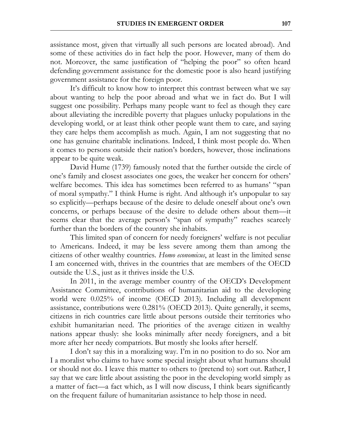assistance most, given that virtually all such persons are located abroad). And some of these activities do in fact help the poor. However, many of them do not. Moreover, the same justification of "helping the poor" so often heard defending government assistance for the domestic poor is also heard justifying government assistance for the foreign poor.

It's difficult to know how to interpret this contrast between what we say about wanting to help the poor abroad and what we in fact do. But I will suggest one possibility. Perhaps many people want to feel as though they care about alleviating the incredible poverty that plagues unlucky populations in the developing world, or at least think other people want them to care, and saying they care helps them accomplish as much. Again, I am not suggesting that no one has genuine charitable inclinations. Indeed, I think most people do. When it comes to persons outside their nation's borders, however, those inclinations appear to be quite weak.

David Hume (1739) famously noted that the further outside the circle of one's family and closest associates one goes, the weaker her concern for others' welfare becomes. This idea has sometimes been referred to as humans' "span of moral sympathy." I think Hume is right. And although it's unpopular to say so explicitly—perhaps because of the desire to delude oneself about one's own concerns, or perhaps because of the desire to delude others about them—it seems clear that the average person's "span of sympathy" reaches scarcely further than the borders of the country she inhabits.

This limited span of concern for needy foreigners' welfare is not peculiar to Americans. Indeed, it may be less severe among them than among the citizens of other wealthy countries. *Homo economicus*, at least in the limited sense I am concerned with, thrives in the countries that are members of the OECD outside the U.S., just as it thrives inside the U.S.

In 2011, in the average member country of the OECD's Development Assistance Committee, contributions of humanitarian aid to the developing world were 0.025% of income (OECD 2013). Including all development assistance, contributions were 0.281% (OECD 2013). Quite generally, it seems, citizens in rich countries care little about persons outside their territories who exhibit humanitarian need. The priorities of the average citizen in wealthy nations appear thusly: she looks minimally after needy foreigners, and a bit more after her needy compatriots. But mostly she looks after herself.

I don't say this in a moralizing way. I'm in no position to do so. Nor am I a moralist who claims to have some special insight about what humans should or should not do. I leave this matter to others to (pretend to) sort out. Rather, I say that we care little about assisting the poor in the developing world simply as a matter of fact—a fact which, as I will now discuss, I think bears significantly on the frequent failure of humanitarian assistance to help those in need.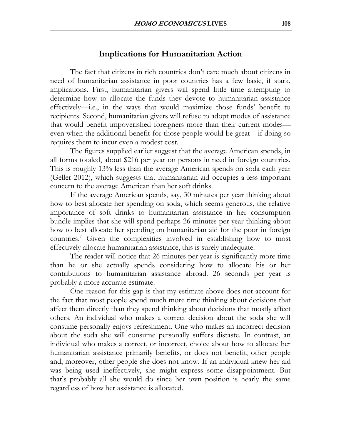### **Implications for Humanitarian Action**

The fact that citizens in rich countries don't care much about citizens in need of humanitarian assistance in poor countries has a few basic, if stark, implications. First, humanitarian givers will spend little time attempting to determine how to allocate the funds they devote to humanitarian assistance effectively—i.e., in the ways that would maximize those funds' benefit to recipients. Second, humanitarian givers will refuse to adopt modes of assistance that would benefit impoverished foreigners more than their current modes even when the additional benefit for those people would be great—if doing so requires them to incur even a modest cost.

The figures supplied earlier suggest that the average American spends, in all forms totaled, about \$216 per year on persons in need in foreign countries. This is roughly 13% less than the average American spends on soda each year (Geller 2012), which suggests that humanitarian aid occupies a less important concern to the average American than her soft drinks.

If the average American spends, say, 30 minutes per year thinking about how to best allocate her spending on soda, which seems generous, the relative importance of soft drinks to humanitarian assistance in her consumption bundle implies that she will spend perhaps 26 minutes per year thinking about how to best allocate her spending on humanitarian aid for the poor in foreign countries.<sup>7</sup> Given the complexities involved in establishing how to most effectively allocate humanitarian assistance, this is surely inadequate.

The reader will notice that 26 minutes per year is significantly more time than he or she actually spends considering how to allocate his or her contributions to humanitarian assistance abroad. 26 seconds per year is probably a more accurate estimate.

One reason for this gap is that my estimate above does not account for the fact that most people spend much more time thinking about decisions that affect them directly than they spend thinking about decisions that mostly affect others. An individual who makes a correct decision about the soda she will consume personally enjoys refreshment. One who makes an incorrect decision about the soda she will consume personally suffers distaste. In contrast, an individual who makes a correct, or incorrect, choice about how to allocate her humanitarian assistance primarily benefits, or does not benefit, other people and, moreover, other people she does not know. If an individual knew her aid was being used ineffectively, she might express some disappointment. But that's probably all she would do since her own position is nearly the same regardless of how her assistance is allocated.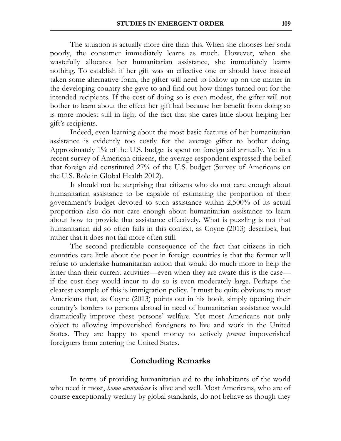The situation is actually more dire than this. When she chooses her soda poorly, the consumer immediately learns as much. However, when she wastefully allocates her humanitarian assistance, she immediately learns nothing. To establish if her gift was an effective one or should have instead taken some alternative form, the gifter will need to follow up on the matter in the developing country she gave to and find out how things turned out for the intended recipients. If the cost of doing so is even modest, the gifter will not bother to learn about the effect her gift had because her benefit from doing so is more modest still in light of the fact that she cares little about helping her gift's recipients.

Indeed, even learning about the most basic features of her humanitarian assistance is evidently too costly for the average gifter to bother doing. Approximately 1% of the U.S. budget is spent on foreign aid annually. Yet in a recent survey of American citizens, the average respondent expressed the belief that foreign aid constituted 27% of the U.S. budget (Survey of Americans on the U.S. Role in Global Health 2012).

It should not be surprising that citizens who do not care enough about humanitarian assistance to be capable of estimating the proportion of their government's budget devoted to such assistance within 2,500% of its actual proportion also do not care enough about humanitarian assistance to learn about how to provide that assistance effectively. What is puzzling is not that humanitarian aid so often fails in this context, as Coyne (2013) describes, but rather that it does not fail more often still.

The second predictable consequence of the fact that citizens in rich countries care little about the poor in foreign countries is that the former will refuse to undertake humanitarian action that would do much more to help the latter than their current activities—even when they are aware this is the case if the cost they would incur to do so is even moderately large. Perhaps the clearest example of this is immigration policy. It must be quite obvious to most Americans that, as Coyne (2013) points out in his book, simply opening their country's borders to persons abroad in need of humanitarian assistance would dramatically improve these persons' welfare. Yet most Americans not only object to allowing impoverished foreigners to live and work in the United States. They are happy to spend money to actively *prevent* impoverished foreigners from entering the United States.

#### **Concluding Remarks**

In terms of providing humanitarian aid to the inhabitants of the world who need it most, *homo economicus* is alive and well. Most Americans, who are of course exceptionally wealthy by global standards, do not behave as though they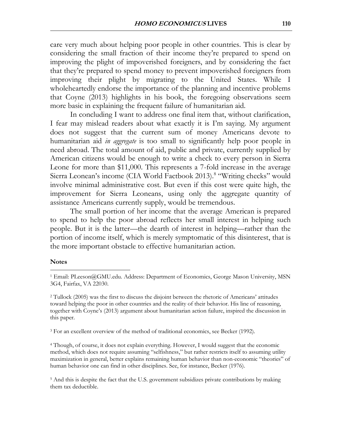care very much about helping poor people in other countries. This is clear by considering the small fraction of their income they're prepared to spend on improving the plight of impoverished foreigners, and by considering the fact that they're prepared to spend money to prevent impoverished foreigners from improving their plight by migrating to the United States. While I wholeheartedly endorse the importance of the planning and incentive problems that Coyne (2013) highlights in his book, the foregoing observations seem more basic in explaining the frequent failure of humanitarian aid.

In concluding I want to address one final item that, without clarification, I fear may mislead readers about what exactly it is I'm saying. My argument does not suggest that the current sum of money Americans devote to humanitarian aid *in aggregate* is too small to significantly help poor people in need abroad. The total amount of aid, public and private, currently supplied by American citizens would be enough to write a check to every person in Sierra Leone for more than \$11,000. This represents a 7-fold increase in the average Sierra Leonean's income (CIA World Factbook 2013).<sup>8</sup> "Writing checks" would involve minimal administrative cost. But even if this cost were quite high, the improvement for Sierra Leoneans, using only the aggregate quantity of assistance Americans currently supply, would be tremendous.

The small portion of her income that the average American is prepared to spend to help the poor abroad reflects her small interest in helping such people. But it is the latter—the dearth of interest in helping—rather than the portion of income itself, which is merely symptomatic of this disinterest, that is the more important obstacle to effective humanitarian action.

#### **Notes**

 $\overline{a}$ 

<sup>3</sup> For an excellent overview of the method of traditional economics, see Becker (1992).

<sup>4</sup> Though, of course, it does not explain everything. However, I would suggest that the economic method, which does not require assuming "selfishness," but rather restricts itself to assuming utility maximization in general, better explains remaining human behavior than non-economic "theories" of human behavior one can find in other disciplines. See, for instance, Becker (1976).

<sup>5</sup> And this is despite the fact that the U.S. government subsidizes private contributions by making them tax deductible.

<sup>1</sup> Email: PLeeson@GMU.edu. Address: Department of Economics, George Mason University, MSN 3G4, Fairfax, VA 22030.

<sup>2</sup> Tullock (2005) was the first to discuss the disjoint between the rhetoric of Americans' attitudes toward helping the poor in other countries and the reality of their behavior. His line of reasoning, together with Coyne's (2013) argument about humanitarian action failure, inspired the discussion in this paper.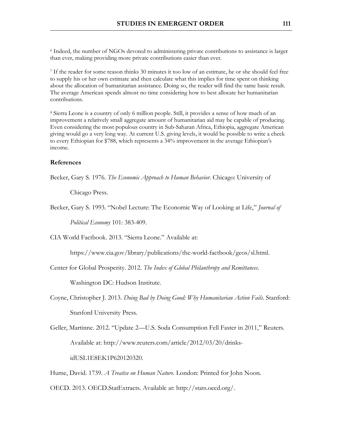<sup>6</sup> Indeed, the number of NGOs devoted to administering private contributions to assistance is larger than ever, making providing more private contributions easier than ever.

<sup>7</sup> If the reader for some reason thinks 30 minutes it too low of an estimate, he or she should feel free to supply his or her own estimate and then calculate what this implies for time spent on thinking about the allocation of humanitarian assistance. Doing so, the reader will find the same basic result. The average American spends almost no time considering how to best allocate her humanitarian contributions.

<sup>8</sup> Sierra Leone is a country of only 6 million people. Still, it provides a sense of how much of an improvement a relatively small aggregate amount of humanitarian aid may be capable of producing. Even considering the most populous country in Sub-Saharan Africa, Ethiopia, aggregate American giving would go a very long way. At current U.S. giving levels, it would be possible to write a check to every Ethiopian for \$788, which represents a 34% improvement in the average Ethiopian's income.

#### **References**

Becker, Gary S. 1976. *The Economic Approach to Human Behavior*. Chicago: University of

Chicago Press.

Becker, Gary S. 1993. "Nobel Lecture: The Economic Way of Looking at Life," *Journal of* 

*Political Economy* 101: 383-409.

CIA World Factbook. 2013. "Sierra Leone." Available at:

https://www.cia.gov/library/publications/the-world-factbook/geos/sl.html.

Center for Global Prosperity. 2012. *The Index of Global Philanthropy and Remittances*.

Washington DC: Hudson Institute.

Coyne, Christopher J. 2013. *Doing Bad by Doing Good: Why Humanitarian Action Fails*. Stanford: Stanford University Press.

Geller, Martinne. 2012. "Update 2—U.S. Soda Consumption Fell Faster in 2011," Reuters. Available at: http://www.reuters.com/article/2012/03/20/drinksidUSL1E8EK1P620120320.

Hume, David. 1739. *A Treatise on Human Nature*. London: Printed for John Noon.

OECD. 2013. OECD.StatExtracts. Available at: http://stats.oecd.org/.